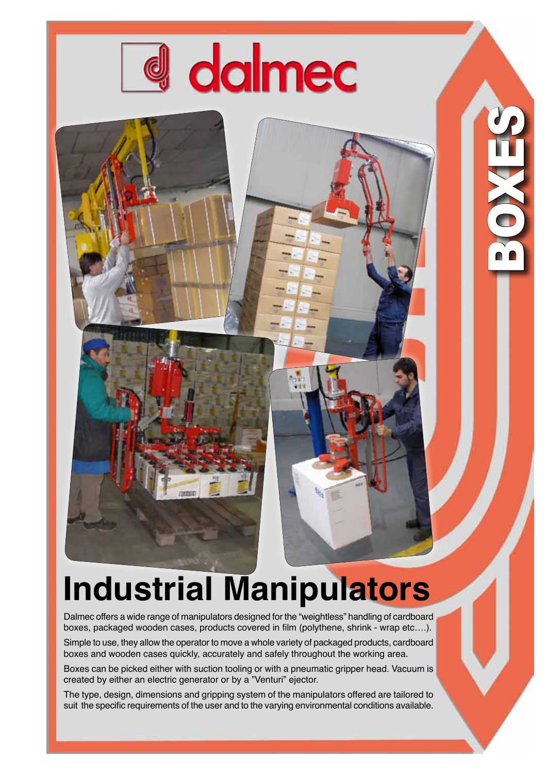

BOXES

## **Industrial Manipulators**

Dalmec offers a wide range of manipulators designed for the "weightless" handling of cardboard boxes, packaged wooden cases, products covered in film (polythene, shrink - wrap etc….).

Simple to use, they allow the operator to move a whole variety of packaged products, cardboard boxes and wooden cases quickly, accurately and safely throughout the working area.

Boxes can be picked either with suction tooling or with a pneumatic gripper head. Vacuum is created by either an electric generator or by a "Venturi" ejector.

The type, design, dimensions and gripping system of the manipulators offered are tailored to suit the specific requirements of the user and to the varying environmental conditions available.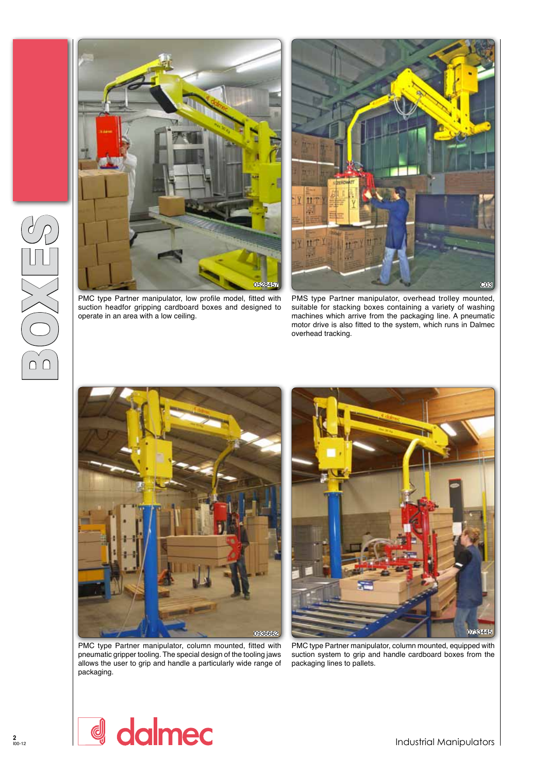



PMC type Partner manipulator, low profile model, fitted with suction headfor gripping cardboard boxes and designed to operate in an area with a low ceiling.

PMS type Partner manipulator, overhead trolley mounted, suitable for stacking boxes containing a variety of washing machines which arrive from the packaging line. A pneumatic motor drive is also fitted to the system, which runs in Dalmec overhead tracking.



0936662 0733445

PMC type Partner manipulator, column mounted, fitted with pneumatic gripper tooling. The special design of the tooling jaws allows the user to grip and handle a particularly wide range of packaging.

PMC type Partner manipulator, column mounted, equipped with suction system to grip and handle cardboard boxes from the packaging lines to pallets.



BOXES

Industrial Manipulators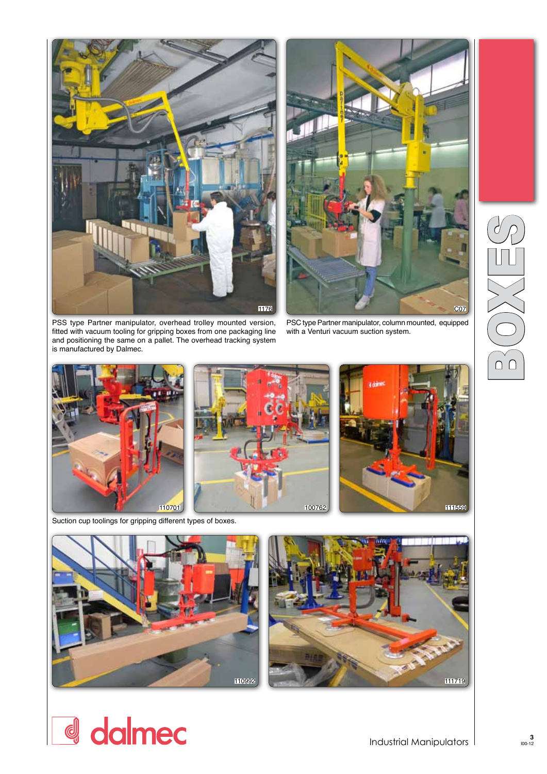



PSS type Partner manipulator, overhead trolley mounted version, fitted with vacuum tooling for gripping boxes from one packaging line and positioning the same on a pallet. The overhead tracking system is manufactured by Dalmec.

PSC type Partner manipulator, column mounted, equipped with a Venturi vacuum suction system.



Suction cup toolings for gripping different types of boxes.





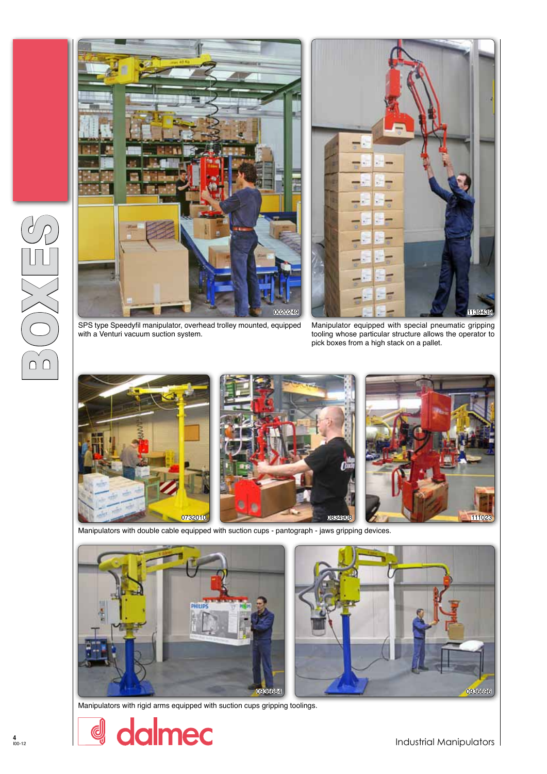





SPS type Speedyfil manipulator, overhead trolley mounted, equipped with a Venturi vacuum suction system.

Manipulator equipped with special pneumatic gripping tooling whose particular structure allows the operator to pick boxes from a high stack on a pallet.







Manipulators with double cable equipped with suction cups - pantograph - jaws gripping devices.



Manipulators with rigid arms equipped with suction cups gripping toolings.

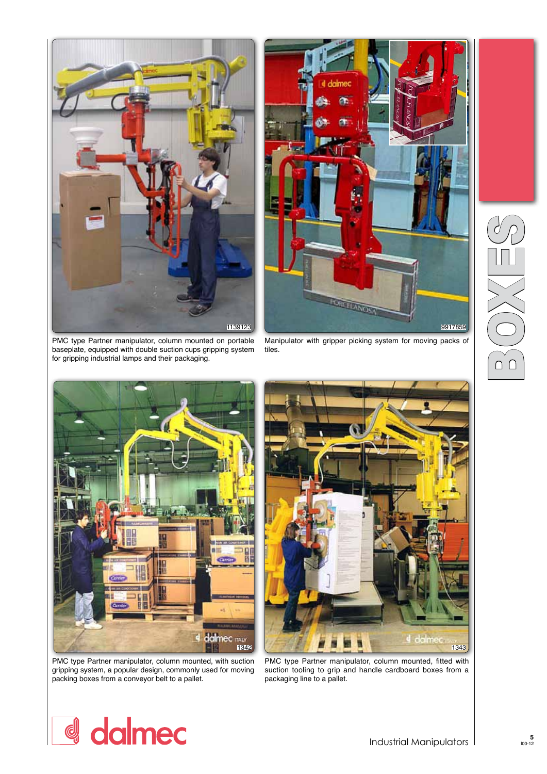

PMC type Partner manipulator, column mounted on portable baseplate, equipped with double suction cups gripping system for gripping industrial lamps and their packaging.



Manipulator with gripper picking system for moving packs of tiles.



PMC type Partner manipulator, column mounted, with suction gripping system, a popular design, commonly used for moving packing boxes from a conveyor belt to a pallet.



PMC type Partner manipulator, column mounted, fitted with suction tooling to grip and handle cardboard boxes from a packaging line to a pallet.

## d dalmec